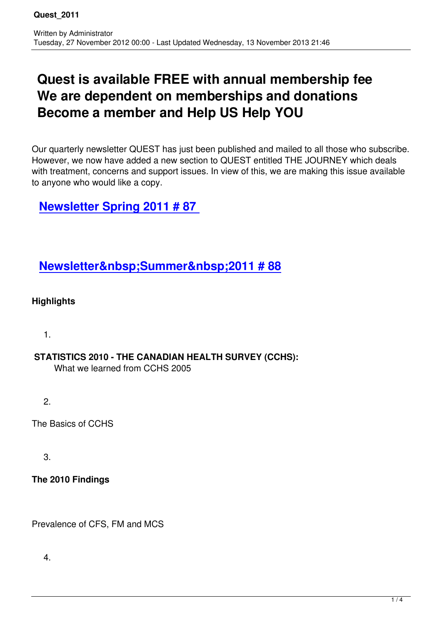# **Quest is available FREE with annual membership fee We are dependent on memberships and donations Become a member and Help US Help YOU**

Our quarterly newsletter QUEST has just been published and mailed to all those who subscribe. However, we now have added a new section to QUEST entitled THE JOURNEY which deals with treatment, concerns and support issues. In view of this, we are making this issue available to anyone who would like a copy.

## **Newsletter Spring 2011 # 87**

### **Newsletter Summer 2011 # 88**

#### **H[ighlights](images/stories/quest_newsletters/QUEST88Summer2011.pdf)**

1.

### **STATISTICS 2010 - THE CANADIAN HEALTH SURVEY (CCHS):**

What we learned from CCHS 2005

2.

The Basics of CCHS

3.

#### **The 2010 Findings**

Prevalence of CFS, FM and MCS

4.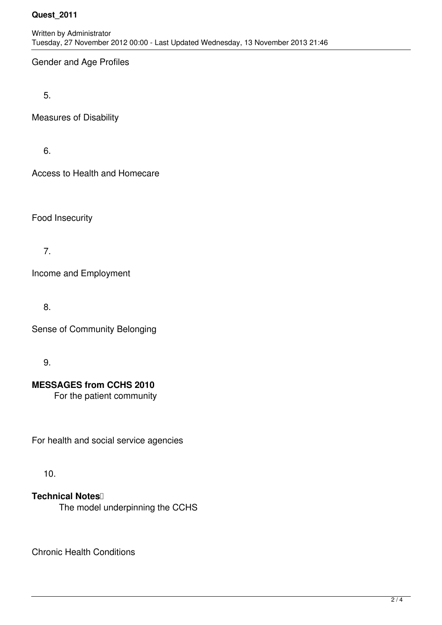#### **Quest\_2011**

Gender and Age Profiles

5.

Measures of Disability

6.

Access to Health and Homecare

Food Insecurity

7.

Income and Employment

8.

Sense of Community Belonging

9.

**MESSAGES from CCHS 2010**

For the patient community

For health and social service agencies

10.

**Technical Notes** The model underpinning the CCHS

Chronic Health Conditions